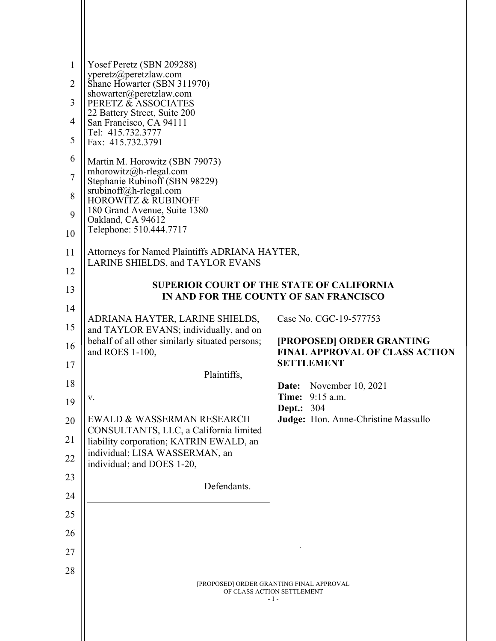| 1<br>2<br>3<br>4<br>5<br>6<br>7<br>8<br>9<br>10<br>11<br>12<br>13 | Yosef Peretz (SBN 209288)<br>yperetz@peretzlaw.com<br>Shane Howarter (SBN 311970)<br>showarter@peretzlaw.com<br>PERETZ & ASSOCIATES<br>22 Battery Street, Suite 200<br>San Francisco, CA 94111<br>Tel: 415.732.3777<br>Fax: 415.732.3791<br>Martin M. Horowitz (SBN 79073)<br>mhorowitz@h-rlegal.com<br>Stephanie Rubinoff (SBN 98229)<br>$sru\overline{b}inoff@h$ -rlegal.com<br><b>HOROWITZ &amp; RUBINOFF</b><br>180 Grand Avenue, Suite 1380<br>Oakland, CA 94612<br>Telephone: 510.444.7717<br>Attorneys for Named Plaintiffs ADRIANA HAYTER,<br>LARINE SHIELDS, and TAYLOR EVANS | <b>SUPERIOR COURT OF THE STATE OF CALIFORNIA</b>                                |
|-------------------------------------------------------------------|----------------------------------------------------------------------------------------------------------------------------------------------------------------------------------------------------------------------------------------------------------------------------------------------------------------------------------------------------------------------------------------------------------------------------------------------------------------------------------------------------------------------------------------------------------------------------------------|---------------------------------------------------------------------------------|
|                                                                   |                                                                                                                                                                                                                                                                                                                                                                                                                                                                                                                                                                                        | IN AND FOR THE COUNTY OF SAN FRANCISCO                                          |
| 14<br>15<br>16                                                    | ADRIANA HAYTER, LARINE SHIELDS,<br>and TAYLOR EVANS; individually, and on<br>behalf of all other similarly situated persons;                                                                                                                                                                                                                                                                                                                                                                                                                                                           | Case No. CGC-19-577753<br>[PROPOSED] ORDER GRANTING                             |
|                                                                   | and ROES 1-100,                                                                                                                                                                                                                                                                                                                                                                                                                                                                                                                                                                        | <b>FINAL APPROVAL OF CLASS ACTION</b><br><b>SETTLEMENT</b>                      |
| 17                                                                | Plaintiffs,                                                                                                                                                                                                                                                                                                                                                                                                                                                                                                                                                                            |                                                                                 |
| 18                                                                |                                                                                                                                                                                                                                                                                                                                                                                                                                                                                                                                                                                        | Date: November 10, 2021                                                         |
| 19                                                                | V.                                                                                                                                                                                                                                                                                                                                                                                                                                                                                                                                                                                     | <b>Time:</b> 9:15 a.m.<br><b>Dept.: 304</b>                                     |
| 20                                                                | EWALD & WASSERMAN RESEARCH                                                                                                                                                                                                                                                                                                                                                                                                                                                                                                                                                             | Judge: Hon. Anne-Christine Massullo                                             |
| 21                                                                | CONSULTANTS, LLC, a California limited<br>liability corporation; KATRIN EWALD, an                                                                                                                                                                                                                                                                                                                                                                                                                                                                                                      |                                                                                 |
| 22                                                                | individual; LISA WASSERMAN, an<br>individual; and DOES 1-20,                                                                                                                                                                                                                                                                                                                                                                                                                                                                                                                           |                                                                                 |
| 23<br>24                                                          | Defendants.                                                                                                                                                                                                                                                                                                                                                                                                                                                                                                                                                                            |                                                                                 |
|                                                                   |                                                                                                                                                                                                                                                                                                                                                                                                                                                                                                                                                                                        |                                                                                 |
| 25                                                                |                                                                                                                                                                                                                                                                                                                                                                                                                                                                                                                                                                                        |                                                                                 |
| 26                                                                |                                                                                                                                                                                                                                                                                                                                                                                                                                                                                                                                                                                        |                                                                                 |
| 27                                                                |                                                                                                                                                                                                                                                                                                                                                                                                                                                                                                                                                                                        |                                                                                 |
| 28                                                                |                                                                                                                                                                                                                                                                                                                                                                                                                                                                                                                                                                                        | [PROPOSED] ORDER GRANTING FINAL APPROVAL<br>OF CLASS ACTION SETTLEMENT<br>$-1-$ |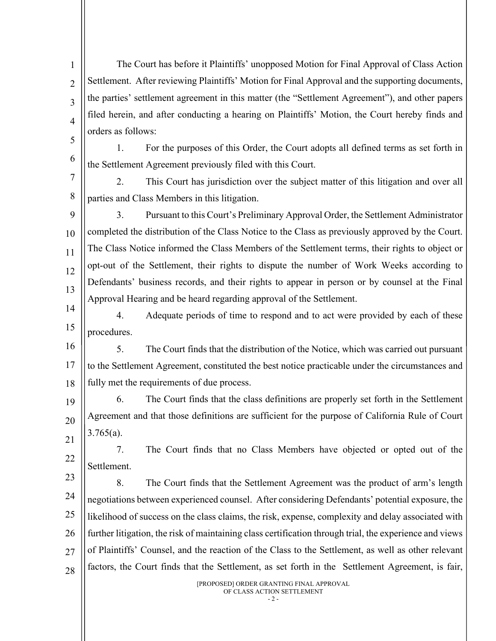1  $\overline{2}$ 3 4 5 The Court has before it Plaintiffs' unopposed Motion for Final Approval of Class Action Settlement. After reviewing Plaintiffs' Motion for Final Approval and the supporting documents, the parties' settlement agreement in this matter (the "Settlement Agreement"), and other papers filed herein, and after conducting a hearing on Plaintiffs' Motion, the Court hereby finds and orders as follows:

6

1. For the purposes of this Order, the Court adopts all defined terms as set forth in the Settlement Agreement previously filed with this Court.

7 8 2. This Court has jurisdiction over the subject matter of this litigation and over all parties and Class Members in this litigation.

9 10 11 12 13 3. Pursuant to this Court's Preliminary Approval Order, the Settlement Administrator completed the distribution of the Class Notice to the Class as previously approved by the Court. The Class Notice informed the Class Members of the Settlement terms, their rights to object or opt-out of the Settlement, their rights to dispute the number of Work Weeks according to Defendants' business records, and their rights to appear in person or by counsel at the Final Approval Hearing and be heard regarding approval of the Settlement.

14 15 4. Adequate periods of time to respond and to act were provided by each of these procedures.

16 17 18 5. The Court finds that the distribution of the Notice, which was carried out pursuant to the Settlement Agreement, constituted the best notice practicable under the circumstances and fully met the requirements of due process.

19 20 21 6. The Court finds that the class definitions are properly set forth in the Settlement Agreement and that those definitions are sufficient for the purpose of California Rule of Court  $3.765(a)$ .

22 7. The Court finds that no Class Members have objected or opted out of the Settlement.

23 24 25 26 27 28 8. The Court finds that the Settlement Agreement was the product of arm's length negotiations between experienced counsel. After considering Defendants' potential exposure, the likelihood of success on the class claims, the risk, expense, complexity and delay associated with further litigation, the risk of maintaining class certification through trial, the experience and views of Plaintiffs' Counsel, and the reaction of the Class to the Settlement, as well as other relevant factors, the Court finds that the Settlement, as set forth in the Settlement Agreement, is fair,

> [PROPOSED] ORDER GRANTING FINAL APPROVAL OF CLASS ACTION SETTLEMENT

> > $-2$  -